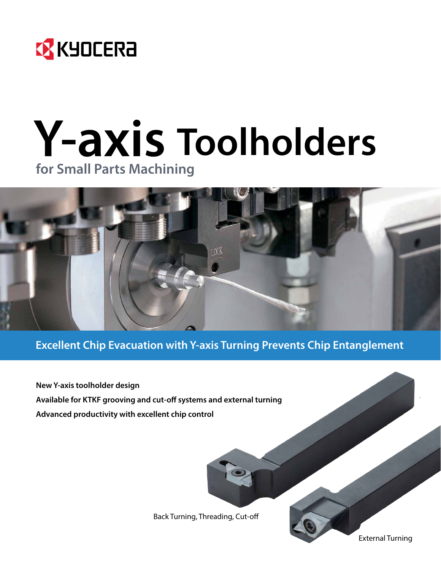

# **Y-axis Toolholders for Small Parts Machining**



**Excellent Chip Evacuation with Y-axis Turning Prevents Chip Entanglement**

**New Y-axis toolholder design Available for KTKF grooving and cut-off systems and external turning Advanced productivity with excellent chip control**

Back Turning, Threading, Cut-off

External Turning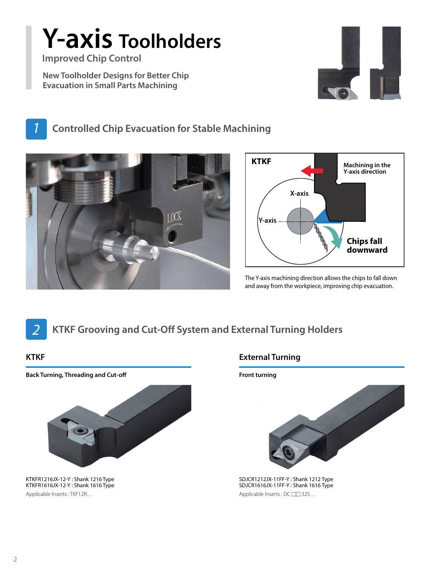# **Y-axis Toolholders**

**Improved Chip Control**

**New Toolholder Designs for Better Chip Evacuation in Small Parts Machining**



*1* **Controlled Chip Evacuation for Stable Machining**





The Y-axis machining direction allows the chips to fall down and away from the workpiece, improving chip evacuation.



# *2* **KTKF Grooving and Cut-Off System and External Turning Holders**

**Back Turning, Threading and Cut-off**



KTKFR1216JX-12-Y : Shank 1216 Type KTKFR1616JX-12-Y : Shank 1616 Type Applicable Inserts : TKF12R… Applicable Inserts : DC  $\square \square$  325...

### **KTKF External Turning**

**Front turning**



SDJCR1212JX-11FF-Y : Shank 1212 Type SDJCR1616JX-11FF-Y : Shank 1616 Type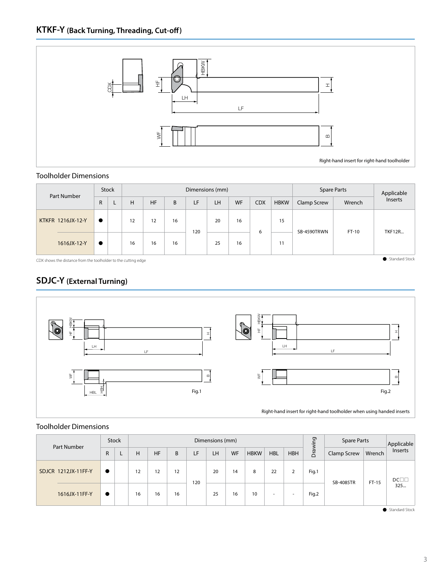

#### Toolholder Dimensions

| Part Number       | Stock     |  | Dimensions (mm) |           |    |     |    |    |            | <b>Spare Parts</b> |             | Applicable |               |
|-------------------|-----------|--|-----------------|-----------|----|-----|----|----|------------|--------------------|-------------|------------|---------------|
|                   | R         |  | н               | <b>HF</b> | B  | LF  | LH | WF | <b>CDX</b> | <b>HBKW</b>        | Clamp Screw | Wrench     | Inserts       |
| KTKFR 1216JX-12-Y | $\bullet$ |  | 12              | 12        | 16 | 120 | 20 | 16 | 6          | 15                 | SB-4590TRWN | FT-10      | <b>TKF12R</b> |
| 1616JX-12-Y       | $\bullet$ |  | 16              | 16        | 16 |     | 25 | 16 |            | 11                 |             |            |               |

CDX shows the distance from the toolholder to the cutting edge

## **SDJC-Y (External Turning)**



#### Toolholder Dimensions

| Part Number         | <b>Stock</b> |   | Dimensions (mm) |    |    |     |    |           |             |            | 50<br>$\overline{\overline{z}}$ | <b>Spare Parts</b> |             | Applicable |                 |
|---------------------|--------------|---|-----------------|----|----|-----|----|-----------|-------------|------------|---------------------------------|--------------------|-------------|------------|-----------------|
|                     | R            | ┕ | н               | HF | B  | LF  | LH | <b>WF</b> | <b>HBKW</b> | <b>HBL</b> | <b>HBH</b>                      | Dra                | Clamp Screw | Wrench     | Inserts         |
| SDJCR 1212JX-11FF-Y | $\bullet$    |   | 12              | 12 | 12 | 120 | 20 | 14        | 8           | 22         |                                 | Fig.1              | SB-4085TR   | $FT-15$    | $DC$ $1$<br>325 |
| 1616JX-11FF-Y       | $\bullet$    |   | 16              | 16 | 16 |     | 25 | 16        | 10          |            | ۰                               | Fig.2              |             |            |                 |

: Standard Stock